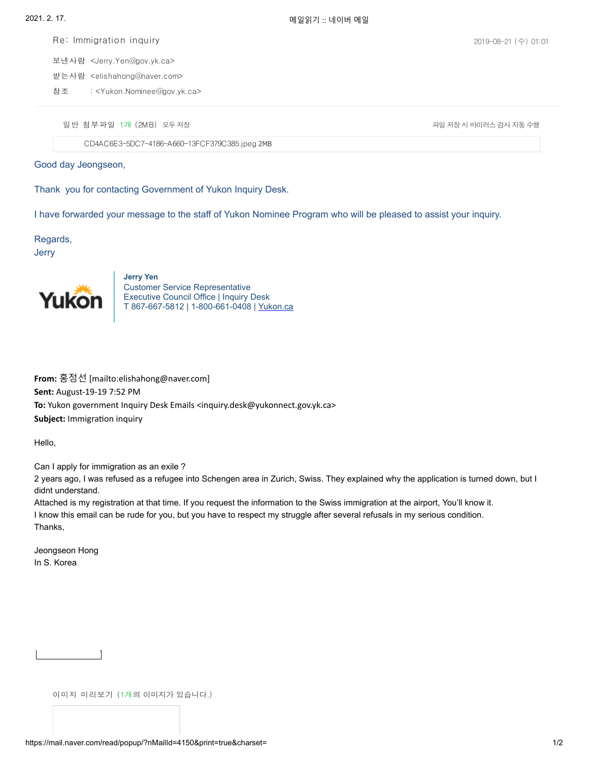Re: Immigration inquiry

보낸사람 <Jerry.Yen@gov.yk.ca> 받는사람 <elishahong@naver.com>

: <Yukon.Nominee@gov.yk.ca> 참조

일 반 첨부 파일 1개 (2MB) 모두 저장 가능하다 A 가능하다 A 가능하다 A 가능하다 A 가능하다 A 가능하다 A 가능하다 A 가능하다 A 가능하다 A 가능하다

[CD4AC6E3-5DC7-4186-A660-13FCF379C385.jpeg](https://download.mail.naver.com/file/download/each/?attachType=normal&mailSN=4150&attachIndex=4&virus=1&domain=mail.naver.com&u=elishahong) 2MB

Good day Jeongseon,

Thank you for contacting Government of Yukon Inquiry Desk.

I have forwarded your message to the staff of Yukon Nominee Program who will be pleased to assist your inquiry.

Regards,

Jerry



**Jerry Yen** Customer Service Representative Executive Council Office | Inquiry Desk T 867-667-5812 | 1-800-661-0408 | [Yukon.ca](https://yukon.ca/)

**From:** 홍정선 [mailto:elishahong@naver.com] **Sent:** August-19-19 7:52 PM **To:** Yukon government Inquiry Desk Emails <inquiry.desk@yukonnect.gov.yk.ca> **Subject:** Immigration inquiry

Hello,

Can I apply for immigration as an exile ?

2 years ago, I was refused as a refugee into Schengen area in Zurich, Swiss. They explained why the application is turned down, but I didnt understand.

Attached is my registration at that time. If you request the information to the Swiss immigration at the airport, You'll know it. I know this email can be rude for you, but you have to respect my struggle after several refusals in my serious condition. Thanks,

Jeongseon Hong In S. Korea

이미지 미리보기 (1개의 이미지가 있습니다.)